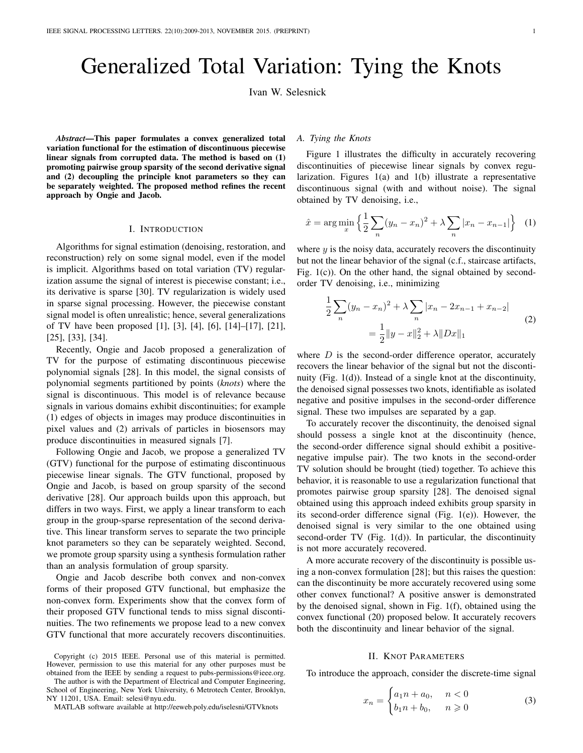# Generalized Total Variation: Tying the Knots

Ivan W. Selesnick

*Abstract*—This paper formulates a convex generalized total variation functional for the estimation of discontinuous piecewise linear signals from corrupted data. The method is based on (1) promoting pairwise group sparsity of the second derivative signal and (2) decoupling the principle knot parameters so they can be separately weighted. The proposed method refines the recent approach by Ongie and Jacob.

# I. INTRODUCTION

Algorithms for signal estimation (denoising, restoration, and reconstruction) rely on some signal model, even if the model is implicit. Algorithms based on total variation (TV) regularization assume the signal of interest is piecewise constant; i.e., its derivative is sparse [30]. TV regularization is widely used in sparse signal processing. However, the piecewise constant signal model is often unrealistic; hence, several generalizations of TV have been proposed [1], [3], [4], [6], [14]–[17], [21], [25], [33], [34].

Recently, Ongie and Jacob proposed a generalization of TV for the purpose of estimating discontinuous piecewise polynomial signals [28]. In this model, the signal consists of polynomial segments partitioned by points (*knots*) where the signal is discontinuous. This model is of relevance because signals in various domains exhibit discontinuities; for example (1) edges of objects in images may produce discontinuities in pixel values and (2) arrivals of particles in biosensors may produce discontinuities in measured signals [7].

Following Ongie and Jacob, we propose a generalized TV (GTV) functional for the purpose of estimating discontinuous piecewise linear signals. The GTV functional, proposed by Ongie and Jacob, is based on group sparsity of the second derivative [28]. Our approach builds upon this approach, but differs in two ways. First, we apply a linear transform to each group in the group-sparse representation of the second derivative. This linear transform serves to separate the two principle knot parameters so they can be separately weighted. Second, we promote group sparsity using a synthesis formulation rather than an analysis formulation of group sparsity.

Ongie and Jacob describe both convex and non-convex forms of their proposed GTV functional, but emphasize the non-convex form. Experiments show that the convex form of their proposed GTV functional tends to miss signal discontinuities. The two refinements we propose lead to a new convex GTV functional that more accurately recovers discontinuities.

The author is with the Department of Electrical and Computer Engineering, School of Engineering, New York University, 6 Metrotech Center, Brooklyn, NY 11201, USA. Email: selesi@nyu.edu.

MATLAB software available at http://eeweb.poly.edu/iselesni/GTVknots

# *A. Tying the Knots*

Figure 1 illustrates the difficulty in accurately recovering discontinuities of piecewise linear signals by convex regularization. Figures 1(a) and 1(b) illustrate a representative discontinuous signal (with and without noise). The signal obtained by TV denoising, i.e.,

$$
\hat{x} = \arg\min_{x} \left\{ \frac{1}{2} \sum_{n} (y_n - x_n)^2 + \lambda \sum_{n} |x_n - x_{n-1}| \right\}
$$
 (1)

where  $y$  is the noisy data, accurately recovers the discontinuity but not the linear behavior of the signal (c.f., staircase artifacts, Fig. 1(c)). On the other hand, the signal obtained by secondorder TV denoising, i.e., minimizing

$$
\frac{1}{2} \sum_{n} (y_n - x_n)^2 + \lambda \sum_{n} |x_n - 2x_{n-1} + x_{n-2}|
$$
\n
$$
= \frac{1}{2} ||y - x||_2^2 + \lambda ||Dx||_1
$$
\n(2)

where  $D$  is the second-order difference operator, accurately recovers the linear behavior of the signal but not the discontinuity (Fig. 1(d)). Instead of a single knot at the discontinuity, the denoised signal possesses two knots, identifiable as isolated negative and positive impulses in the second-order difference signal. These two impulses are separated by a gap.

To accurately recover the discontinuity, the denoised signal should possess a single knot at the discontinuity (hence, the second-order difference signal should exhibit a positivenegative impulse pair). The two knots in the second-order TV solution should be brought (tied) together. To achieve this behavior, it is reasonable to use a regularization functional that promotes pairwise group sparsity [28]. The denoised signal obtained using this approach indeed exhibits group sparsity in its second-order difference signal (Fig. 1(e)). However, the denoised signal is very similar to the one obtained using second-order TV (Fig. 1(d)). In particular, the discontinuity is not more accurately recovered.

A more accurate recovery of the discontinuity is possible using a non-convex formulation [28]; but this raises the question: can the discontinuity be more accurately recovered using some other convex functional? A positive answer is demonstrated by the denoised signal, shown in Fig. 1(f), obtained using the convex functional (20) proposed below. It accurately recovers both the discontinuity and linear behavior of the signal.

#### II. KNOT PARAMETERS

To introduce the approach, consider the discrete-time signal

$$
x_n = \begin{cases} a_1 n + a_0, & n < 0 \\ b_1 n + b_0, & n \geqslant 0 \end{cases} \tag{3}
$$

Copyright (c) 2015 IEEE. Personal use of this material is permitted. However, permission to use this material for any other purposes must be obtained from the IEEE by sending a request to pubs-permissions@ieee.org.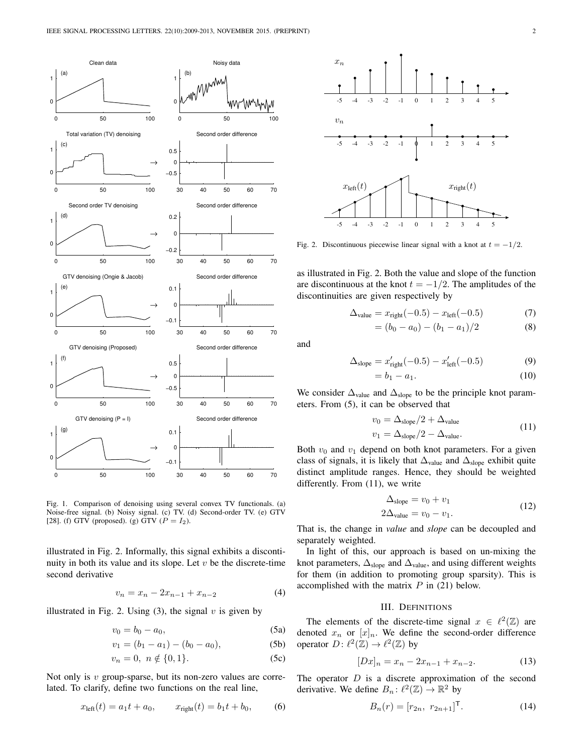

Fig. 1. Comparison of denoising using several convex TV functionals. (a) Noise-free signal. (b) Noisy signal. (c) TV. (d) Second-order TV. (e) GTV [28]. (f) GTV (proposed). (g) GTV ( $P = I_2$ ).

illustrated in Fig. 2. Informally, this signal exhibits a discontinuity in both its value and its slope. Let  $v$  be the discrete-time second derivative

$$
v_n = x_n - 2x_{n-1} + x_{n-2} \tag{4}
$$

illustrated in Fig. 2. Using  $(3)$ , the signal v is given by

$$
v_0 = b_0 - a_0,\t\t(5a)
$$

$$
v_1 = (b_1 - a_1) - (b_0 - a_0),
$$
 (5b)

$$
v_n = 0, \ n \notin \{0, 1\}.
$$
 (5c)

Not only is  $v$  group-sparse, but its non-zero values are correlated. To clarify, define two functions on the real line,

$$
x_{\text{left}}(t) = a_1 t + a_0, \qquad x_{\text{right}}(t) = b_1 t + b_0,
$$
 (6)



Fig. 2. Discontinuous piecewise linear signal with a knot at  $t = -1/2$ .

as illustrated in Fig. 2. Both the value and slope of the function are discontinuous at the knot  $t = -1/2$ . The amplitudes of the discontinuities are given respectively by

$$
\Delta_{\text{value}} = x_{\text{right}}(-0.5) - x_{\text{left}}(-0.5) \tag{7}
$$

$$
= (b_0 - a_0) - (b_1 - a_1)/2 \tag{8}
$$

and

$$
\Delta_{\text{slope}} = x'_{\text{right}}(-0.5) - x'_{\text{left}}(-0.5) \tag{9}
$$
  
=  $b_1 - a_1$ . (10)

We consider  $\Delta_{value}$  and  $\Delta_{slope}$  to be the principle knot parameters. From (5), it can be observed that

$$
v_0 = \Delta_{\text{slope}}/2 + \Delta_{\text{value}}
$$
  
\n
$$
v_1 = \Delta_{\text{slope}}/2 - \Delta_{\text{value}}.
$$
\n(11)

Both  $v_0$  and  $v_1$  depend on both knot parameters. For a given class of signals, it is likely that  $\Delta_{value}$  and  $\Delta_{slope}$  exhibit quite distinct amplitude ranges. Hence, they should be weighted differently. From (11), we write

$$
\Delta_{\text{slope}} = v_0 + v_1
$$
  
 
$$
2\Delta_{\text{value}} = v_0 - v_1.
$$
 (12)

That is, the change in *value* and *slope* can be decoupled and separately weighted.

In light of this, our approach is based on un-mixing the knot parameters,  $\Delta_{\text{slope}}$  and  $\Delta_{\text{value}}$ , and using different weights for them (in addition to promoting group sparsity). This is accomplished with the matrix  $P$  in (21) below.

# III. DEFINITIONS

The elements of the discrete-time signal  $x \in \ell^2(\mathbb{Z})$  are denoted  $x_n$  or  $[x]_n$ . We define the second-order difference operator  $D: \ell^2(\mathbb{Z}) \to \ell^2(\mathbb{Z})$  by

$$
[Dx]_n = x_n - 2x_{n-1} + x_{n-2}.
$$
 (13)

The operator  $D$  is a discrete approximation of the second derivative. We define  $B_n: \ell^2(\mathbb{Z}) \to \mathbb{R}^2$  by

$$
B_n(r) = [r_{2n}, r_{2n+1}]^{\mathsf{T}}.
$$
 (14)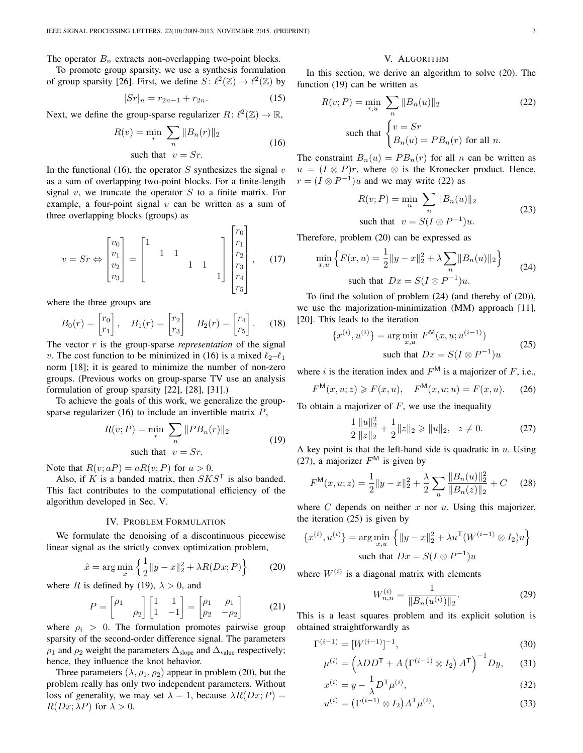The operator  $B_n$  extracts non-overlapping two-point blocks.

To promote group sparsity, we use a synthesis formulation of group sparsity [26]. First, we define  $S: \ell^2(\mathbb{Z}) \to \ell^2(\mathbb{Z})$  by

$$
[Sr]_n = r_{2n-1} + r_{2n}.\tag{15}
$$

Next, we define the group-sparse regularizer  $R: \ell^2(\mathbb{Z}) \to \mathbb{R}$ ,

$$
R(v) = \min_{r} \sum_{n} ||B_n(r)||_2
$$
  
such that  $v = Sr$ . (16)

п.

 $\mathbf{\mathsf{L}}$ 

In the functional (16), the operator S synthesizes the signal  $v$ as a sum of overlapping two-point blocks. For a finite-length signal  $v$ , we truncate the operator  $S$  to a finite matrix. For example, a four-point signal  $v$  can be written as a sum of three overlapping blocks (groups) as

$$
v = Sr \Leftrightarrow \begin{bmatrix} v_0 \\ v_1 \\ v_2 \\ v_3 \end{bmatrix} = \begin{bmatrix} 1 & 1 & 1 \\ & 1 & 1 \\ & & 1 & 1 \\ & & & 1 \end{bmatrix} \begin{bmatrix} r_0 \\ r_1 \\ r_2 \\ r_3 \\ r_4 \\ r_5 \end{bmatrix}, \quad (17)
$$

where the three groups are

$$
B_0(r) = \begin{bmatrix} r_0 \\ r_1 \end{bmatrix}, \quad B_1(r) = \begin{bmatrix} r_2 \\ r_3 \end{bmatrix} \quad B_2(r) = \begin{bmatrix} r_4 \\ r_5 \end{bmatrix}.
$$
 (18)

The vector  $r$  is the group-sparse *representation* of the signal v. The cost function to be minimized in (16) is a mixed  $\ell_2-\ell_1$ norm [18]; it is geared to minimize the number of non-zero groups. (Previous works on group-sparse TV use an analysis formulation of group sparsity [22], [28], [31].)

To achieve the goals of this work, we generalize the groupsparse regularizer (16) to include an invertible matrix  $P$ ,

$$
R(v; P) = \min_{r} \sum_{n} ||PB_n(r)||_2
$$
  
such that  $v = Sr$ . (19)

Note that  $R(v; aP) = aR(v; P)$  for  $a > 0$ .

Also, if K is a banded matrix, then  $SKS<sup>T</sup>$  is also banded. This fact contributes to the computational efficiency of the algorithm developed in Sec. V.

# IV. PROBLEM FORMULATION

We formulate the denoising of a discontinuous piecewise linear signal as the strictly convex optimization problem,

$$
\hat{x} = \arg\min_{x} \left\{ \frac{1}{2} ||y - x||_2^2 + \lambda R(Dx; P) \right\}
$$
 (20)

where R is defined by (19),  $\lambda > 0$ , and

$$
P = \begin{bmatrix} \rho_1 & \\ & \rho_2 \end{bmatrix} \begin{bmatrix} 1 & 1 \\ 1 & -1 \end{bmatrix} = \begin{bmatrix} \rho_1 & \rho_1 \\ \rho_2 & -\rho_2 \end{bmatrix} \tag{21}
$$

where  $\rho_i > 0$ . The formulation promotes pairwise group sparsity of the second-order difference signal. The parameters  $\rho_1$  and  $\rho_2$  weight the parameters  $\Delta_{\text{slope}}$  and  $\Delta_{\text{value}}$  respectively; hence, they influence the knot behavior.

Three parameters  $(\lambda, \rho_1, \rho_2)$  appear in problem (20), but the problem really has only two independent parameters. Without loss of generality, we may set  $\lambda = 1$ , because  $\lambda R(Dx; P) =$  $R(Dx; \lambda P)$  for  $\lambda > 0$ .

### V. ALGORITHM

In this section, we derive an algorithm to solve (20). The function (19) can be written as

$$
R(v; P) = \min_{r,u} \sum_{n} ||B_n(u)||_2
$$
 (22)  
such that 
$$
\begin{cases} v = Sr \\ B_n(u) = PB_n(r) \text{ for all } n. \end{cases}
$$

The constraint  $B_n(u) = PB_n(r)$  for all n can be written as  $u = (I \otimes P)r$ , where  $\otimes$  is the Kronecker product. Hence,  $r = (I \otimes P^{-1})u$  and we may write (22) as

$$
R(v; P) = \min_{u} \sum_{n} ||B_n(u)||_2
$$
  
such that  $v = S(I \otimes P^{-1})u$ . (23)

Therefore, problem (20) can be expressed as

$$
\min_{x,u} \left\{ F(x,u) = \frac{1}{2} ||y - x||_2^2 + \lambda \sum_{n} ||B_n(u)||_2 \right\}
$$
\nsuch that

\n
$$
Dx = S(I \otimes P^{-1})u.
$$
\n(24)

To find the solution of problem (24) (and thereby of (20)), we use the majorization-minimization (MM) approach [11], [20]. This leads to the iteration

$$
\{x^{(i)}, u^{(i)}\} = \arg\min_{x,u} F^M(x, u; u^{(i-1)})
$$
  
such that  $Dx = S(I \otimes P^{-1})u$  (25)

where i is the iteration index and  $F^{\text{M}}$  is a majorizer of F, i.e.,

$$
F^{\mathsf{M}}(x, u; z) \geq F(x, u), \quad F^{\mathsf{M}}(x, u; u) = F(x, u).
$$
 (26)

To obtain a majorizer of  $F$ , we use the inequality

$$
\frac{1}{2} \frac{\|u\|_2^2}{\|z\|_2} + \frac{1}{2} \|z\|_2 \ge \|u\|_2, \quad z \ne 0.
$$
 (27)

A key point is that the left-hand side is quadratic in  $u$ . Using (27), a majorizer  $F^{\text{M}}$  is given by

$$
F^{\mathsf{M}}(x, u; z) = \frac{1}{2} \|y - x\|_2^2 + \frac{\lambda}{2} \sum_{n} \frac{\|B_n(u)\|_2^2}{\|B_n(z)\|_2} + C \quad (28)
$$

where  $C$  depends on neither  $x$  nor  $u$ . Using this majorizer, the iteration (25) is given by

$$
\{x^{(i)}, u^{(i)}\} = \arg\min_{x, u} \left\{ \|y - x\|_2^2 + \lambda u^{\mathsf{T}} (W^{(i-1)} \otimes I_2) u \right\}
$$
  
such that  $Dx = S(I \otimes P^{-1}) u$ 

where  $W^{(i)}$  is a diagonal matrix with elements

$$
W_{n,n}^{(i)} = \frac{1}{\|B_n(u^{(i)})\|_2}.\tag{29}
$$

This is a least squares problem and its explicit solution is obtained straightforwardly as

$$
\Gamma^{(i-1)} = [W^{(i-1)}]^{-1},\tag{30}
$$

$$
\mu^{(i)} = \left(\lambda D D^{\mathsf{T}} + A \left(\Gamma^{(i-1)} \otimes I_2\right) A^{\mathsf{T}}\right)^{-1} D y,\qquad(31)
$$

$$
x^{(i)} = y - \frac{1}{\lambda} D^{\mathsf{T}} \mu^{(i)},
$$
\n(32)

$$
u^{(i)} = (\Gamma^{(i-1)} \otimes I_2) A^{\mathsf{T}} \mu^{(i)}, \tag{33}
$$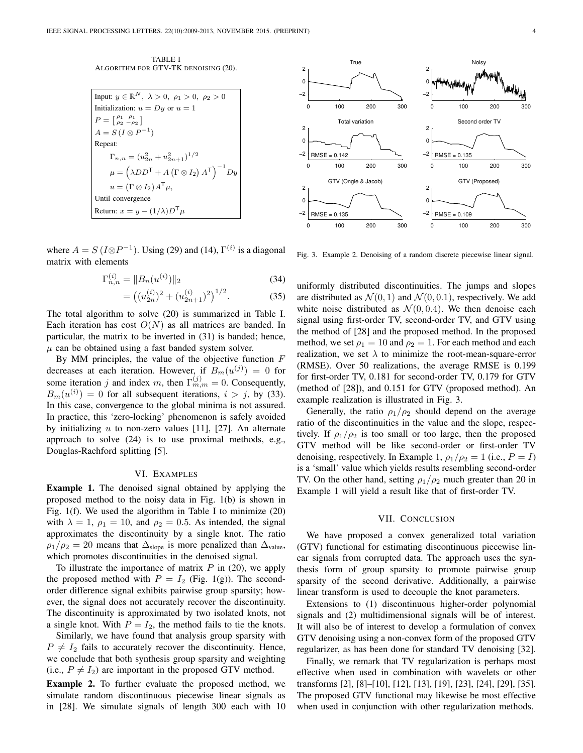TABLE I ALGORITHM FOR GTV-TK DENOISING (20).

| Input: $y \in \mathbb{R}^N$ , $\lambda > 0$ , $\rho_1 > 0$ , $\rho_2 > 0$                                  |
|------------------------------------------------------------------------------------------------------------|
| Initialization: $u = Dy$ or $u = 1$                                                                        |
| $P=\begin{bmatrix} \rho_1 & \rho_1 \\ \rho_2 & -\rho_2 \end{bmatrix}$                                      |
| $A = S (I \otimes P^{-1})$                                                                                 |
| Repeat:                                                                                                    |
| $\Gamma_{n,n} = (u_{2n}^2 + u_{2n+1}^2)^{1/2}$                                                             |
| $\mu = \left(\lambda D D^{\mathsf{T}} + A\left(\Gamma \otimes I_{2}\right) A^{\mathsf{T}}\right)^{-1} D y$ |
| $u = (\Gamma \otimes I_2) A^{\mathsf{T}} \mu,$                                                             |
| Until convergence                                                                                          |
| Return: $x = y - (1/\lambda)D^{\mathsf{T}}\mu$                                                             |

where  $A = S(I \otimes P^{-1})$ . Using (29) and (14),  $\Gamma^{(i)}$  is a diagonal matrix with elements

$$
\Gamma_{n,n}^{(i)} = \|B_n(u^{(i)})\|_2 \tag{34}
$$

$$
= ((u_{2n}^{(i)})^2 + (u_{2n+1}^{(i)})^2)^{1/2}.
$$
 (35)

The total algorithm to solve (20) is summarized in Table I. Each iteration has cost  $O(N)$  as all matrices are banded. In particular, the matrix to be inverted in (31) is banded; hence,  $\mu$  can be obtained using a fast banded system solver.

By MM principles, the value of the objective function  $F$ decreases at each iteration. However, if  $B_m(u^{(j)}) = 0$  for some iteration j and index m, then  $\Gamma_{m,m}^{(j)} = 0$ . Consequently,  $B_m(u^{(i)}) = 0$  for all subsequent iterations,  $i > j$ , by (33). In this case, convergence to the global minima is not assured. In practice, this 'zero-locking' phenomenon is safely avoided by initializing  $u$  to non-zero values [11], [27]. An alternate approach to solve (24) is to use proximal methods, e.g., Douglas-Rachford splitting [5].

# VI. EXAMPLES

Example 1. The denoised signal obtained by applying the proposed method to the noisy data in Fig. 1(b) is shown in Fig. 1(f). We used the algorithm in Table I to minimize (20) with  $\lambda = 1$ ,  $\rho_1 = 10$ , and  $\rho_2 = 0.5$ . As intended, the signal approximates the discontinuity by a single knot. The ratio  $\rho_1/\rho_2 = 20$  means that  $\Delta_{\text{slope}}$  is more penalized than  $\Delta_{\text{value}}$ , which promotes discontinuities in the denoised signal.

To illustrate the importance of matrix  $P$  in (20), we apply the proposed method with  $P = I_2$  (Fig. 1(g)). The secondorder difference signal exhibits pairwise group sparsity; however, the signal does not accurately recover the discontinuity. The discontinuity is approximated by two isolated knots, not a single knot. With  $P = I_2$ , the method fails to tie the knots.

Similarly, we have found that analysis group sparsity with  $P \neq I_2$  fails to accurately recover the discontinuity. Hence, we conclude that both synthesis group sparsity and weighting (i.e.,  $P \neq I_2$ ) are important in the proposed GTV method.

Example 2. To further evaluate the proposed method, we simulate random discontinuous piecewise linear signals as in [28]. We simulate signals of length 300 each with 10



Fig. 3. Example 2. Denoising of a random discrete piecewise linear signal.

uniformly distributed discontinuities. The jumps and slopes are distributed as  $\mathcal{N}(0, 1)$  and  $\mathcal{N}(0, 0.1)$ , respectively. We add white noise distributed as  $\mathcal{N}(0, 0.4)$ . We then denoise each signal using first-order TV, second-order TV, and GTV using the method of [28] and the proposed method. In the proposed method, we set  $\rho_1 = 10$  and  $\rho_2 = 1$ . For each method and each realization, we set  $\lambda$  to minimize the root-mean-square-error (RMSE). Over 50 realizations, the average RMSE is 0.199 for first-order TV, 0.181 for second-order TV, 0.179 for GTV (method of [28]), and 0.151 for GTV (proposed method). An example realization is illustrated in Fig. 3.

Generally, the ratio  $\rho_1/\rho_2$  should depend on the average ratio of the discontinuities in the value and the slope, respectively. If  $\rho_1/\rho_2$  is too small or too large, then the proposed GTV method will be like second-order or first-order TV denoising, respectively. In Example 1,  $\rho_1/\rho_2 = 1$  (i.e.,  $P = I$ ) is a 'small' value which yields results resembling second-order TV. On the other hand, setting  $\rho_1/\rho_2$  much greater than 20 in Example 1 will yield a result like that of first-order TV.

# VII. CONCLUSION

We have proposed a convex generalized total variation (GTV) functional for estimating discontinuous piecewise linear signals from corrupted data. The approach uses the synthesis form of group sparsity to promote pairwise group sparsity of the second derivative. Additionally, a pairwise linear transform is used to decouple the knot parameters.

Extensions to (1) discontinuous higher-order polynomial signals and (2) multidimensional signals will be of interest. It will also be of interest to develop a formulation of convex GTV denoising using a non-convex form of the proposed GTV regularizer, as has been done for standard TV denoising [32].

Finally, we remark that TV regularization is perhaps most effective when used in combination with wavelets or other transforms [2], [8]–[10], [12], [13], [19], [23], [24], [29], [35]. The proposed GTV functional may likewise be most effective when used in conjunction with other regularization methods.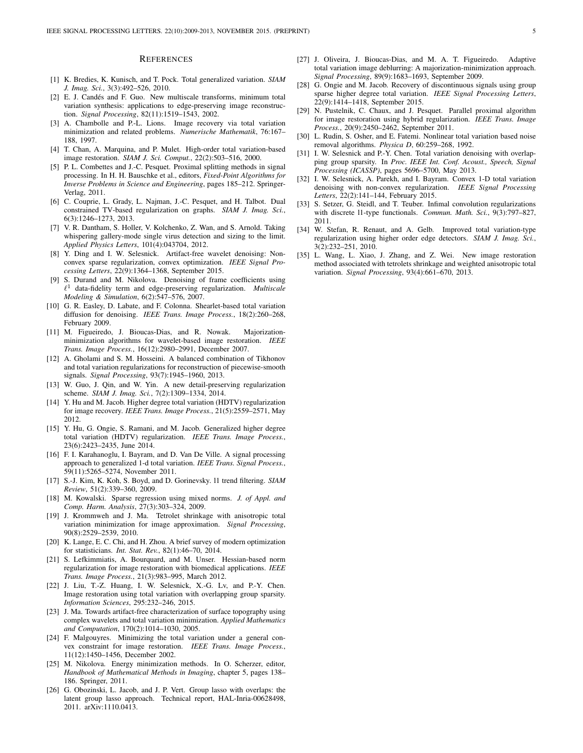#### **REFERENCES**

- [1] K. Bredies, K. Kunisch, and T. Pock. Total generalized variation. *SIAM J. Imag. Sci.*, 3(3):492–526, 2010.
- [2] E. J. Candés and F. Guo. New multiscale transforms, minimum total variation synthesis: applications to edge-preserving image reconstruction. *Signal Processing*, 82(11):1519–1543, 2002.
- [3] A. Chambolle and P.-L. Lions. Image recovery via total variation minimization and related problems. *Numerische Mathematik*, 76:167– 188, 1997.
- [4] T. Chan, A. Marquina, and P. Mulet. High-order total variation-based image restoration. *SIAM J. Sci. Comput.*, 22(2):503–516, 2000.
- [5] P. L. Combettes and J.-C. Pesquet. Proximal splitting methods in signal processing. In H. H. Bauschke et al., editors, *Fixed-Point Algorithms for Inverse Problems in Science and Engineering*, pages 185–212. Springer-Verlag, 2011.
- [6] C. Couprie, L. Grady, L. Najman, J.-C. Pesquet, and H. Talbot. Dual constrained TV-based regularization on graphs. *SIAM J. Imag. Sci.*, 6(3):1246–1273, 2013.
- [7] V. R. Dantham, S. Holler, V. Kolchenko, Z. Wan, and S. Arnold. Taking whispering gallery-mode single virus detection and sizing to the limit. *Applied Physics Letters*, 101(4):043704, 2012.
- [8] Y. Ding and I. W. Selesnick. Artifact-free wavelet denoising: Nonconvex sparse regularization, convex optimization. *IEEE Signal Processing Letters*, 22(9):1364–1368, September 2015.
- [9] S. Durand and M. Nikolova. Denoising of frame coefficients using ` <sup>1</sup> data-fidelity term and edge-preserving regularization. *Multiscale Modeling & Simulation*, 6(2):547–576, 2007.
- [10] G. R. Easley, D. Labate, and F. Colonna. Shearlet-based total variation diffusion for denoising. *IEEE Trans. Image Process.*, 18(2):260–268, February 2009.
- [11] M. Figueiredo, J. Bioucas-Dias, and R. Nowak. Majorizationminimization algorithms for wavelet-based image restoration. *IEEE Trans. Image Process.*, 16(12):2980–2991, December 2007.
- [12] A. Gholami and S. M. Hosseini. A balanced combination of Tikhonov and total variation regularizations for reconstruction of piecewise-smooth signals. *Signal Processing*, 93(7):1945–1960, 2013.
- [13] W. Guo, J. Qin, and W. Yin. A new detail-preserving regularization scheme. *SIAM J. Imag. Sci.*, 7(2):1309–1334, 2014.
- [14] Y. Hu and M. Jacob. Higher degree total variation (HDTV) regularization for image recovery. *IEEE Trans. Image Process.*, 21(5):2559–2571, May 2012.
- [15] Y. Hu, G. Ongie, S. Ramani, and M. Jacob. Generalized higher degree total variation (HDTV) regularization. *IEEE Trans. Image Process.*, 23(6):2423–2435, June 2014.
- [16] F. I. Karahanoglu, I. Bayram, and D. Van De Ville. A signal processing approach to generalized 1-d total variation. *IEEE Trans. Signal Process.*, 59(11):5265–5274, November 2011.
- [17] S.-J. Kim, K. Koh, S. Boyd, and D. Gorinevsky. l1 trend filtering. *SIAM Review*, 51(2):339–360, 2009.
- [18] M. Kowalski. Sparse regression using mixed norms. *J. of Appl. and Comp. Harm. Analysis*, 27(3):303–324, 2009.
- [19] J. Krommweh and J. Ma. Tetrolet shrinkage with anisotropic total variation minimization for image approximation. *Signal Processing*, 90(8):2529–2539, 2010.
- [20] K. Lange, E. C. Chi, and H. Zhou. A brief survey of modern optimization for statisticians. *Int. Stat. Rev.*, 82(1):46–70, 2014.
- [21] S. Lefkimmiatis, A. Bourquard, and M. Unser. Hessian-based norm regularization for image restoration with biomedical applications. *IEEE Trans. Image Process.*, 21(3):983–995, March 2012.
- [22] J. Liu, T.-Z. Huang, I. W. Selesnick, X.-G. Lv, and P.-Y. Chen. Image restoration using total variation with overlapping group sparsity. *Information Sciences*, 295:232–246, 2015.
- [23] J. Ma. Towards artifact-free characterization of surface topography using complex wavelets and total variation minimization. *Applied Mathematics and Computation*, 170(2):1014–1030, 2005.
- [24] F. Malgouyres. Minimizing the total variation under a general convex constraint for image restoration. *IEEE Trans. Image Process.*, 11(12):1450–1456, December 2002.
- [25] M. Nikolova. Energy minimization methods. In O. Scherzer, editor, *Handbook of Mathematical Methods in Imaging*, chapter 5, pages 138– 186. Springer, 2011.
- [26] G. Obozinski, L. Jacob, and J. P. Vert. Group lasso with overlaps: the latent group lasso approach. Technical report, HAL-Inria-00628498, 2011. arXiv:1110.0413.
- [27] J. Oliveira, J. Bioucas-Dias, and M. A. T. Figueiredo. Adaptive total variation image deblurring: A majorization-minimization approach. *Signal Processing*, 89(9):1683–1693, September 2009.
- [28] G. Ongie and M. Jacob. Recovery of discontinuous signals using group sparse higher degree total variation. *IEEE Signal Processing Letters*, 22(9):1414–1418, September 2015.
- [29] N. Pustelnik, C. Chaux, and J. Pesquet. Parallel proximal algorithm for image restoration using hybrid regularization. *IEEE Trans. Image Process.*, 20(9):2450–2462, September 2011.
- [30] L. Rudin, S. Osher, and E. Fatemi. Nonlinear total variation based noise removal algorithms. *Physica D*, 60:259–268, 1992.
- [31] I. W. Selesnick and P.-Y. Chen. Total variation denoising with overlapping group sparsity. In *Proc. IEEE Int. Conf. Acoust., Speech, Signal Processing (ICASSP)*, pages 5696–5700, May 2013.
- [32] I. W. Selesnick, A. Parekh, and I. Bayram. Convex 1-D total variation denoising with non-convex regularization. *IEEE Signal Processing Letters*, 22(2):141–144, February 2015.
- [33] S. Setzer, G. Steidl, and T. Teuber. Infimal convolution regularizations with discrete l1-type functionals. *Commun. Math. Sci.*, 9(3):797–827, 2011.
- [34] W. Stefan, R. Renaut, and A. Gelb. Improved total variation-type regularization using higher order edge detectors. *SIAM J. Imag. Sci.*, 3(2):232–251, 2010.
- [35] L. Wang, L. Xiao, J. Zhang, and Z. Wei. New image restoration method associated with tetrolets shrinkage and weighted anisotropic total variation. *Signal Processing*, 93(4):661–670, 2013.